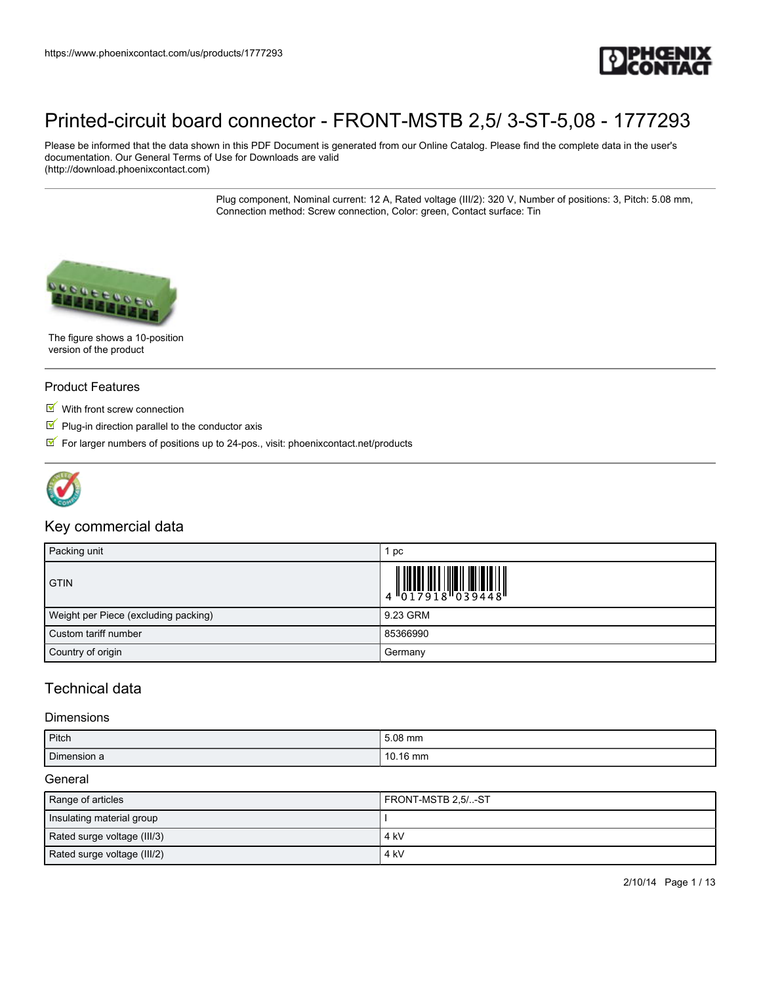

Please be informed that the data shown in this PDF Document is generated from our Online Catalog. Please find the complete data in the user's documentation. Our General Terms of Use for Downloads are valid (http://download.phoenixcontact.com)

> Plug component, Nominal current: 12 A, Rated voltage (III/2): 320 V, Number of positions: 3, Pitch: 5.08 mm, Connection method: Screw connection, Color: green, Contact surface: Tin



The figure shows a 10-position version of the product

#### Product Features

- With front screw connection
- $\blacksquare$  Plug-in direction parallel to the conductor axis
- $\mathbb F$  For larger numbers of positions up to 24-pos., visit: phoenixcontact.net/products



## Key commercial data

| Packing unit                         | рc                                                                                                                                                                                                                                                                                                                      |
|--------------------------------------|-------------------------------------------------------------------------------------------------------------------------------------------------------------------------------------------------------------------------------------------------------------------------------------------------------------------------|
| <b>GTIN</b>                          | $\begin{array}{c} 0 & 0 & 0 & 0 \\ 0 & 0 & 1 & 7 & 9 & 1 & 8 \\ 0 & 0 & 1 & 7 & 9 & 1 & 8 \\ 0 & 0 & 0 & 0 & 3 & 9 & 4 & 4 & 8 \\ 0 & 0 & 0 & 0 & 0 & 0 & 9 & 1 \\ 0 & 0 & 0 & 0 & 0 & 0 & 0 & 0 \\ 0 & 0 & 0 & 0 & 0 & 0 & 0 & 0 \\ 0 & 0 & 0 & 0 & 0 & 0 & 0 & 0 \\ 0 & 0 & 0 & 0 & 0 & 0 & 0 & 0 \\ 0 & 0 & 0 & 0 &$ |
| Weight per Piece (excluding packing) | 9.23 GRM                                                                                                                                                                                                                                                                                                                |
| Custom tariff number                 | 85366990                                                                                                                                                                                                                                                                                                                |
| Country of origin                    | Germany                                                                                                                                                                                                                                                                                                                 |

## Technical data

#### **Dimensions**

| Pitch       | 5.08 mm          |
|-------------|------------------|
| Dimension a | $^{\circ}$ 16 mm |

#### **General**

| Range of articles           | FRONT-MSTB 2.5/-ST |
|-----------------------------|--------------------|
| Insulating material group   |                    |
| Rated surge voltage (III/3) | 4 kV               |
| Rated surge voltage (III/2) | 4 kV               |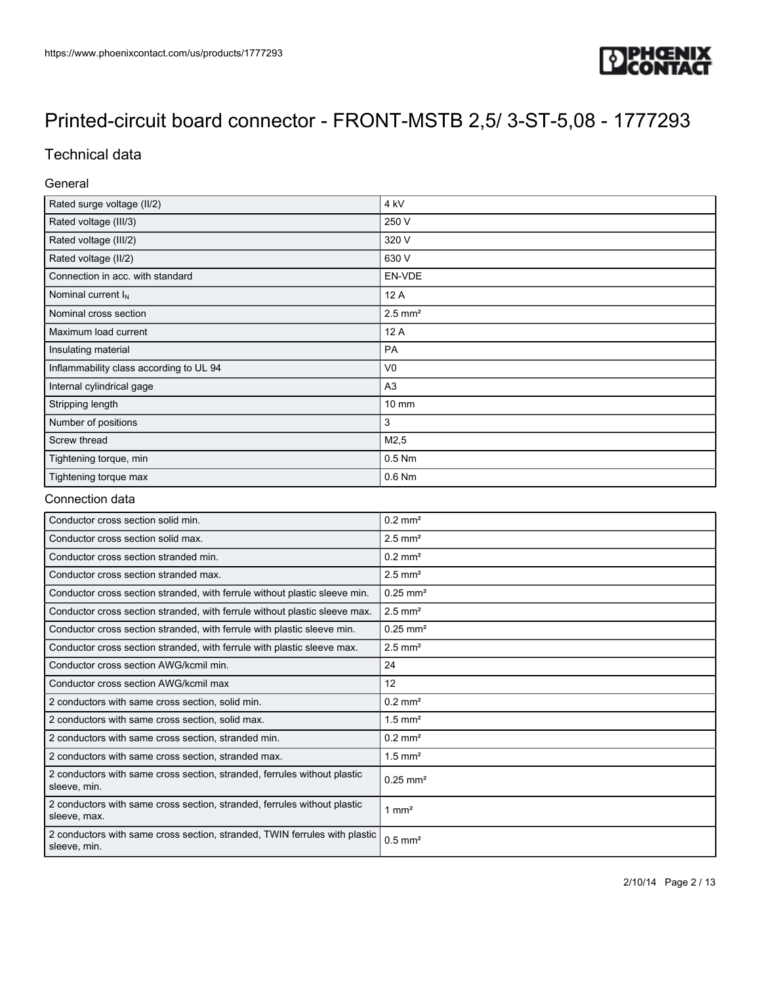

## Technical data

### General

| Rated surge voltage (II/2)              | 4 kV                  |
|-----------------------------------------|-----------------------|
| Rated voltage (III/3)                   | 250 V                 |
| Rated voltage (III/2)                   | 320 V                 |
| Rated voltage (II/2)                    | 630 V                 |
| Connection in acc. with standard        | EN-VDE                |
| Nominal current $I_N$                   | 12 A                  |
| Nominal cross section                   | $2.5$ mm <sup>2</sup> |
| Maximum load current                    | 12 A                  |
| Insulating material                     | PA                    |
| Inflammability class according to UL 94 | V <sub>0</sub>        |
| Internal cylindrical gage               | A <sub>3</sub>        |
| Stripping length                        | $10 \, \text{mm}$     |
| Number of positions                     | 3                     |
| Screw thread                            | M2,5                  |
| Tightening torque, min                  | $0.5$ Nm              |
| Tightening torque max                   | $0.6$ Nm              |

### Connection data

| Conductor cross section solid min.                                                         | $0.2$ mm <sup>2</sup>  |
|--------------------------------------------------------------------------------------------|------------------------|
| Conductor cross section solid max.                                                         | $2.5$ mm <sup>2</sup>  |
| Conductor cross section stranded min.                                                      | $0.2$ mm <sup>2</sup>  |
| Conductor cross section stranded max.                                                      | $2.5$ mm <sup>2</sup>  |
| Conductor cross section stranded, with ferrule without plastic sleeve min.                 | $0.25$ mm <sup>2</sup> |
| Conductor cross section stranded, with ferrule without plastic sleeve max.                 | $2.5$ mm <sup>2</sup>  |
| Conductor cross section stranded, with ferrule with plastic sleeve min.                    | $0.25$ mm <sup>2</sup> |
| Conductor cross section stranded, with ferrule with plastic sleeve max.                    | $2.5$ mm <sup>2</sup>  |
| Conductor cross section AWG/kcmil min.                                                     | 24                     |
| Conductor cross section AWG/kcmil max                                                      | 12                     |
| 2 conductors with same cross section, solid min.                                           | $0.2$ mm <sup>2</sup>  |
| 2 conductors with same cross section, solid max.                                           | $1.5$ mm <sup>2</sup>  |
| 2 conductors with same cross section, stranded min.                                        | $0.2 \text{ mm}^2$     |
| 2 conductors with same cross section, stranded max.                                        | $1.5$ mm <sup>2</sup>  |
| 2 conductors with same cross section, stranded, ferrules without plastic<br>sleeve, min.   | $0.25$ mm <sup>2</sup> |
| 2 conductors with same cross section, stranded, ferrules without plastic<br>sleeve, max.   | 1 mm <sup>2</sup>      |
| 2 conductors with same cross section, stranded, TWIN ferrules with plastic<br>sleeve, min. | $0.5$ mm <sup>2</sup>  |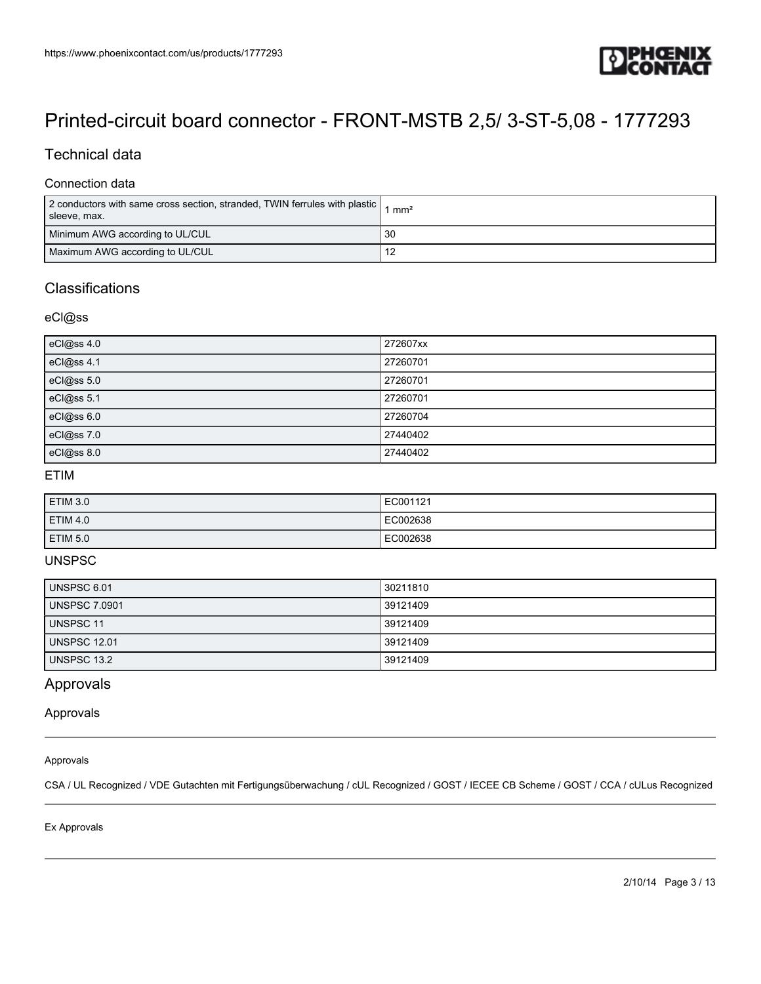

## Technical data

### Connection data

| 2 conductors with same cross section, stranded, TWIN ferrules with plastic  <br>sleeve, max. | $^{\prime}$ mm <sup>2</sup> |
|----------------------------------------------------------------------------------------------|-----------------------------|
| Minimum AWG according to UL/CUL                                                              | 30                          |
| Maximum AWG according to UL/CUL                                                              | 12                          |

## **Classifications**

### eCl@ss

| eCl@ss 4.0 | 272607xx |
|------------|----------|
| eCl@ss 4.1 | 27260701 |
| eCl@ss 5.0 | 27260701 |
| eCl@ss 5.1 | 27260701 |
| eCl@ss 6.0 | 27260704 |
| eCl@ss 7.0 | 27440402 |
| eCl@ss 8.0 | 27440402 |

#### ETIM

| ETIM 3.0        | EC001121 |
|-----------------|----------|
| $E$ IM 4.0      | EC002638 |
| <b>ETIM 5.0</b> | EC002638 |

### UNSPSC

| UNSPSC 6.01          | 30211810 |
|----------------------|----------|
| <b>UNSPSC 7.0901</b> | 39121409 |
| UNSPSC 11            | 39121409 |
| <b>UNSPSC 12.01</b>  | 39121409 |
| <b>UNSPSC 13.2</b>   | 39121409 |

## Approvals

#### Approvals

#### Approvals

CSA / UL Recognized / VDE Gutachten mit Fertigungsüberwachung / cUL Recognized / GOST / IECEE CB Scheme / GOST / CCA / cULus Recognized

Ex Approvals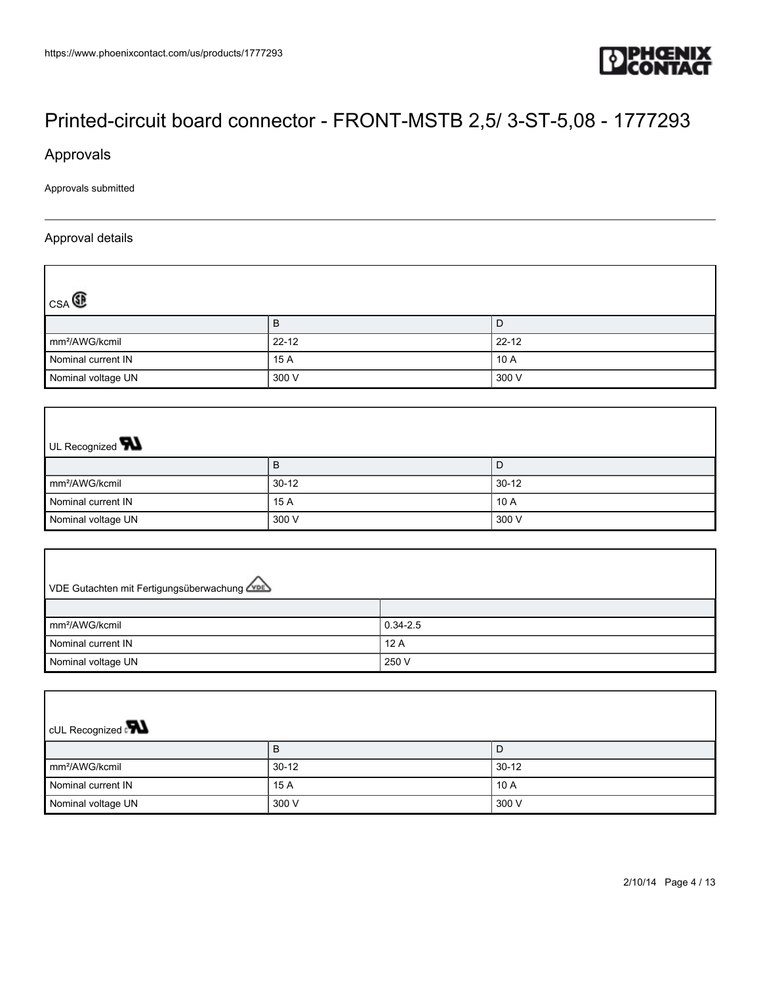

Approvals

Approvals submitted

### Approval details

ſ

| $_{\text{CSA}}$            |           |           |
|----------------------------|-----------|-----------|
|                            | в         | D         |
| mm <sup>2</sup> /AWG/kcmil | $22 - 12$ | $22 - 12$ |
| Nominal current IN         | 15 A      | 10 A      |
| Nominal voltage UN         | 300 V     | 300 V     |

## UL Recognized **W** B D mm²/AWG/kcmil 30-12 30-12 Nominal current IN 10 A 15 A 10 A 10 A Nominal voltage UN 300 V 300 V 300 V 300 V

| VDE Gutachten mit Fertigungsüberwachung |              |  |
|-----------------------------------------|--------------|--|
|                                         |              |  |
| mm <sup>2</sup> /AWG/kcmil              | $0.34 - 2.5$ |  |
| Nominal current IN                      | 12A          |  |
| Nominal voltage UN                      | 250 V        |  |

| <b>CUL Recognized</b>      |           |           |  |
|----------------------------|-----------|-----------|--|
|                            | в         | D         |  |
| mm <sup>2</sup> /AWG/kcmil | $30 - 12$ | $30 - 12$ |  |
| Nominal current IN         | 15 A      | 10A       |  |
| Nominal voltage UN         | 300 V     | 300 V     |  |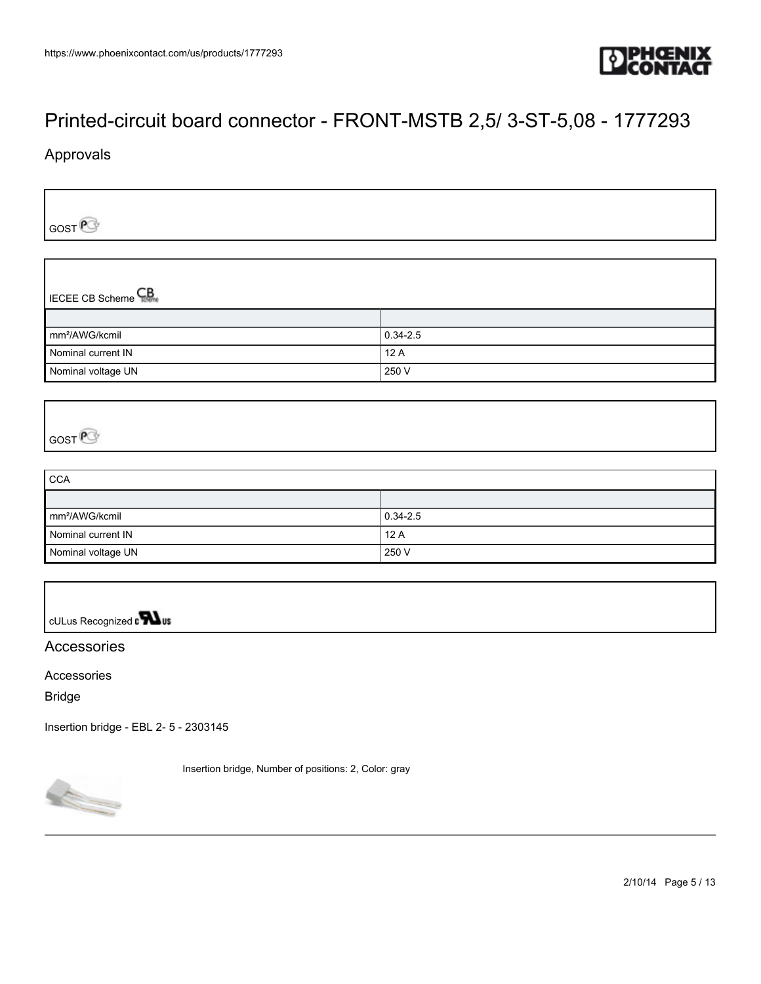

## Approvals

GOST<sup>e</sup>

IECEE CB Scheme<sup>CB</sup>

| mm <sup>2</sup> /AWG/kcmil | $0.34 - 2.5$ |
|----------------------------|--------------|
| Nominal current IN         | 12A          |
| Nominal voltage UN         | 250 V        |

## GOST<sup>P</sup>

| <b>CCA</b>                 |              |
|----------------------------|--------------|
|                            |              |
| mm <sup>2</sup> /AWG/kcmil | $0.34 - 2.5$ |
| Nominal current IN         | 12A          |
| Nominal voltage UN         | 250 V        |

cULus Recognized on **What** 

## **Accessories**

Accessories

Bridge

[Insertion bridge - EBL 2- 5 - 2303145](https://www.phoenixcontact.com/us/products/2303145)

Insertion bridge, Number of positions: 2, Color: gray



2/10/14 Page 5 / 13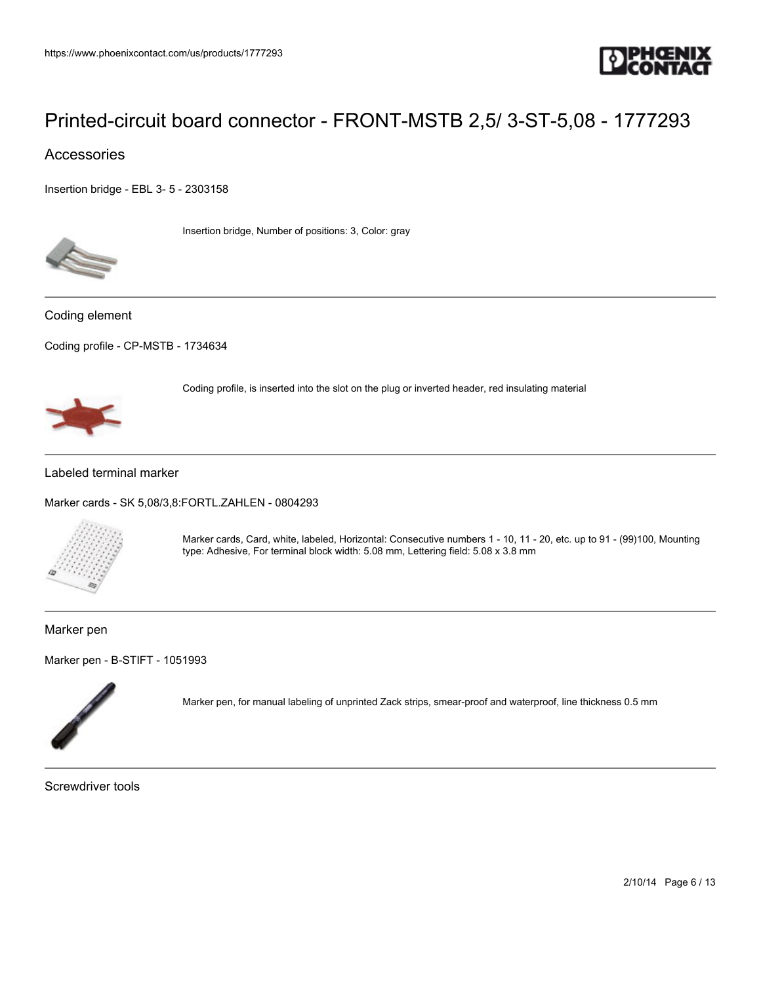

Coding profile, is inserted into the slot on the plug or inverted header, red insulating material

## Accessories

[Insertion bridge - EBL 3- 5 - 2303158](https://www.phoenixcontact.com/us/products/2303158)



Insertion bridge, Number of positions: 3, Color: gray

Coding element

[Coding profile - CP-MSTB - 1734634](https://www.phoenixcontact.com/us/products/1734634)



#### Labeled terminal marker

[Marker cards - SK 5,08/3,8:FORTL.ZAHLEN - 0804293](https://www.phoenixcontact.com/us/products/0804293)



Marker cards, Card, white, labeled, Horizontal: Consecutive numbers 1 - 10, 11 - 20, etc. up to 91 - (99)100, Mounting type: Adhesive, For terminal block width: 5.08 mm, Lettering field: 5.08 x 3.8 mm

#### Marker pen

[Marker pen - B-STIFT - 1051993](https://www.phoenixcontact.com/us/products/1051993)



Marker pen, for manual labeling of unprinted Zack strips, smear-proof and waterproof, line thickness 0.5 mm

Screwdriver tools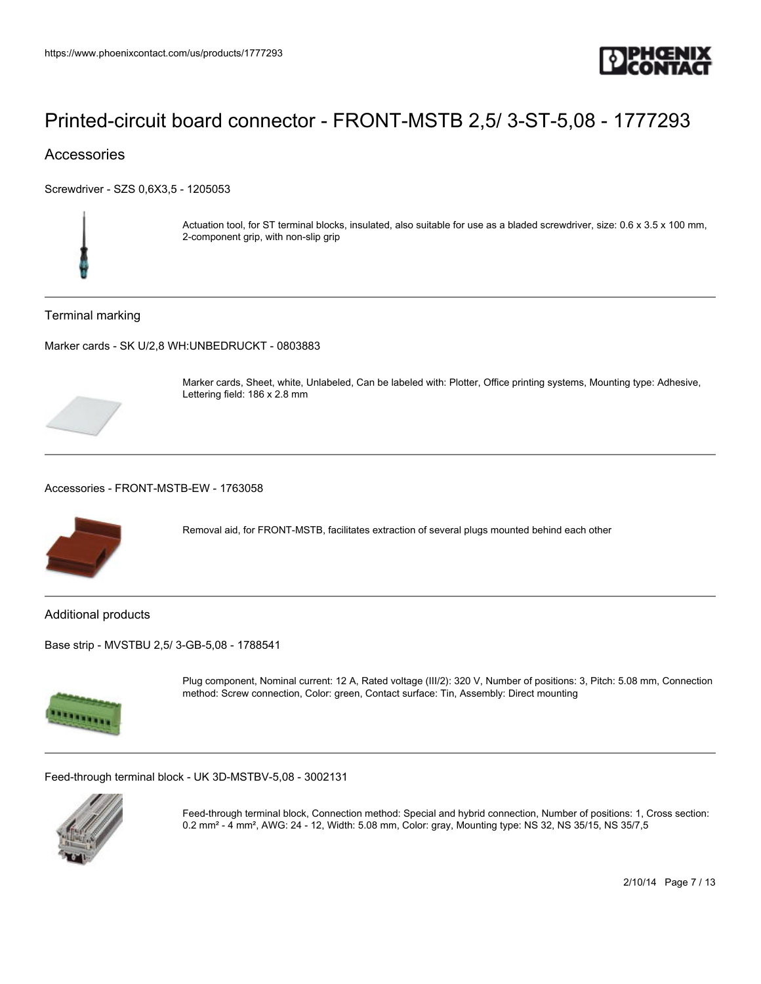

## **Accessories**

[Screwdriver - SZS 0,6X3,5 - 1205053](https://www.phoenixcontact.com/us/products/1205053)



Actuation tool, for ST terminal blocks, insulated, also suitable for use as a bladed screwdriver, size: 0.6 x 3.5 x 100 mm, 2-component grip, with non-slip grip

#### Terminal marking

[Marker cards - SK U/2,8 WH:UNBEDRUCKT - 0803883](https://www.phoenixcontact.com/us/products/0803883)



Marker cards, Sheet, white, Unlabeled, Can be labeled with: Plotter, Office printing systems, Mounting type: Adhesive, Lettering field: 186 x 2.8 mm

#### [Accessories - FRONT-MSTB-EW - 1763058](https://www.phoenixcontact.com/us/products/1763058)



Removal aid, for FRONT-MSTB, facilitates extraction of several plugs mounted behind each other

#### Additional products

[Base strip - MVSTBU 2,5/ 3-GB-5,08 - 1788541](https://www.phoenixcontact.com/us/products/1788541)



Plug component, Nominal current: 12 A, Rated voltage (III/2): 320 V, Number of positions: 3, Pitch: 5.08 mm, Connection method: Screw connection, Color: green, Contact surface: Tin, Assembly: Direct mounting

[Feed-through terminal block - UK 3D-MSTBV-5,08 - 3002131](https://www.phoenixcontact.com/us/products/3002131)



Feed-through terminal block, Connection method: Special and hybrid connection, Number of positions: 1, Cross section: 0.2 mm² - 4 mm², AWG: 24 - 12, Width: 5.08 mm, Color: gray, Mounting type: NS 32, NS 35/15, NS 35/7,5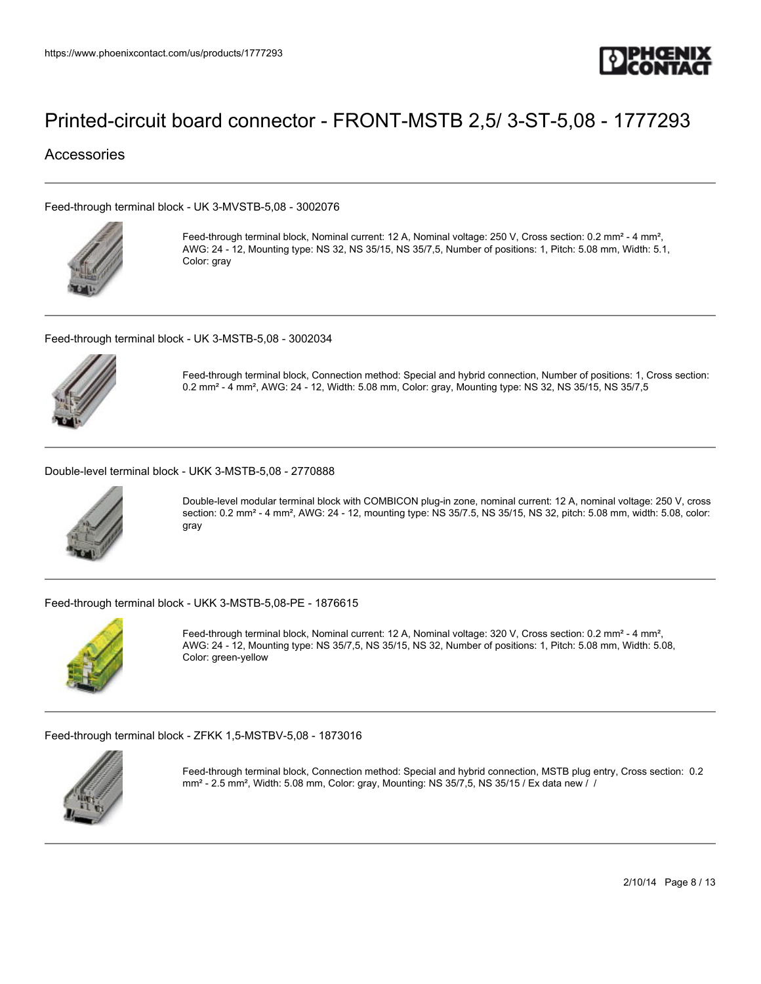

## Accessories

[Feed-through terminal block - UK 3-MVSTB-5,08 - 3002076](https://www.phoenixcontact.com/us/products/3002076)



Feed-through terminal block, Nominal current: 12 A, Nominal voltage: 250 V, Cross section: 0.2 mm<sup>2</sup> - 4 mm<sup>2</sup>, AWG: 24 - 12, Mounting type: NS 32, NS 35/15, NS 35/7,5, Number of positions: 1, Pitch: 5.08 mm, Width: 5.1, Color: gray

[Feed-through terminal block - UK 3-MSTB-5,08 - 3002034](https://www.phoenixcontact.com/us/products/3002034)



Feed-through terminal block, Connection method: Special and hybrid connection, Number of positions: 1, Cross section: 0.2 mm² - 4 mm², AWG: 24 - 12, Width: 5.08 mm, Color: gray, Mounting type: NS 32, NS 35/15, NS 35/7,5

[Double-level terminal block - UKK 3-MSTB-5,08 - 2770888](https://www.phoenixcontact.com/us/products/2770888)



Double-level modular terminal block with COMBICON plug-in zone, nominal current: 12 A, nominal voltage: 250 V, cross section: 0.2 mm<sup>2</sup> - 4 mm<sup>2</sup>, AWG: 24 - 12, mounting type: NS 35/7.5, NS 35/15, NS 32, pitch: 5.08 mm, width: 5.08, color: gray

[Feed-through terminal block - UKK 3-MSTB-5,08-PE - 1876615](https://www.phoenixcontact.com/us/products/1876615)



Feed-through terminal block, Nominal current: 12 A, Nominal voltage: 320 V, Cross section: 0.2 mm² - 4 mm², AWG: 24 - 12, Mounting type: NS 35/7,5, NS 35/15, NS 32, Number of positions: 1, Pitch: 5.08 mm, Width: 5.08, Color: green-yellow

[Feed-through terminal block - ZFKK 1,5-MSTBV-5,08 - 1873016](https://www.phoenixcontact.com/us/products/1873016)



Feed-through terminal block, Connection method: Special and hybrid connection, MSTB plug entry, Cross section: 0.2  $mm<sup>2</sup> - 2.5 mm<sup>2</sup>$ , Width: 5.08 mm, Color: gray, Mounting: NS 35/7,5, NS 35/15 / Ex data new / /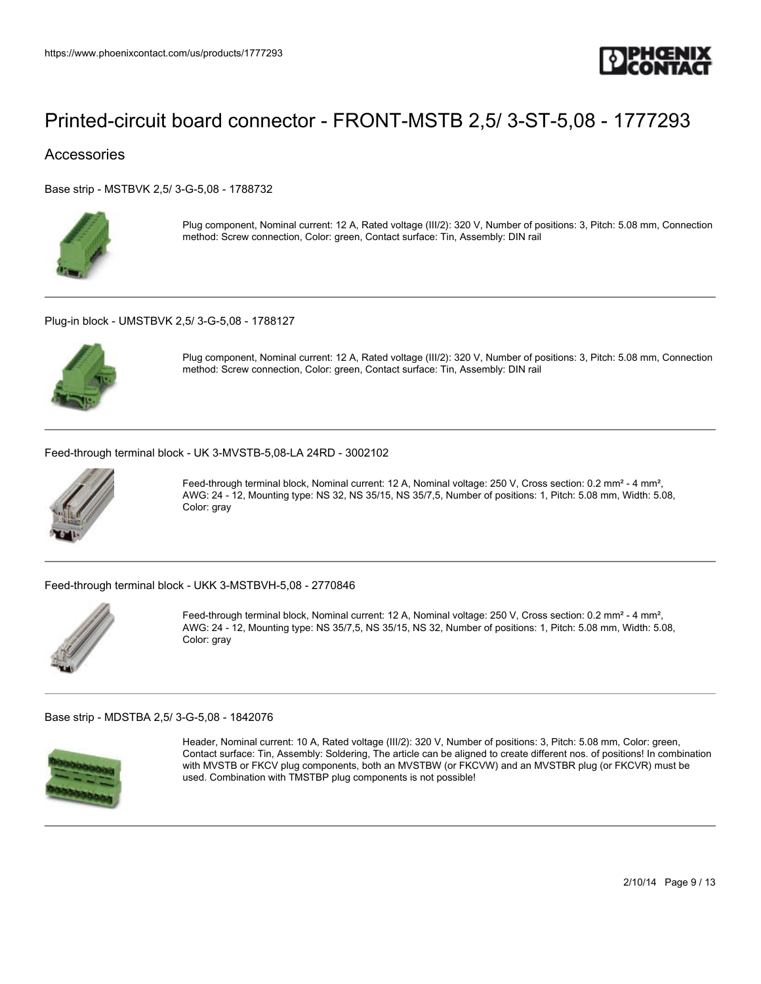

## Accessories

[Base strip - MSTBVK 2,5/ 3-G-5,08 - 1788732](https://www.phoenixcontact.com/us/products/1788732)



Plug component, Nominal current: 12 A, Rated voltage (III/2): 320 V, Number of positions: 3, Pitch: 5.08 mm, Connection method: Screw connection, Color: green, Contact surface: Tin, Assembly: DIN rail

[Plug-in block - UMSTBVK 2,5/ 3-G-5,08 - 1788127](https://www.phoenixcontact.com/us/products/1788127)



Plug component, Nominal current: 12 A, Rated voltage (III/2): 320 V, Number of positions: 3, Pitch: 5.08 mm, Connection method: Screw connection, Color: green, Contact surface: Tin, Assembly: DIN rail

[Feed-through terminal block - UK 3-MVSTB-5,08-LA 24RD - 3002102](https://www.phoenixcontact.com/us/products/3002102)



Feed-through terminal block, Nominal current: 12 A, Nominal voltage: 250 V, Cross section: 0.2 mm² - 4 mm², AWG: 24 - 12, Mounting type: NS 32, NS 35/15, NS 35/7,5, Number of positions: 1, Pitch: 5.08 mm, Width: 5.08, Color: gray

[Feed-through terminal block - UKK 3-MSTBVH-5,08 - 2770846](https://www.phoenixcontact.com/us/products/2770846)



Feed-through terminal block, Nominal current: 12 A, Nominal voltage: 250 V, Cross section: 0.2 mm² - 4 mm², AWG: 24 - 12, Mounting type: NS 35/7,5, NS 35/15, NS 32, Number of positions: 1, Pitch: 5.08 mm, Width: 5.08, Color: gray

#### [Base strip - MDSTBA 2,5/ 3-G-5,08 - 1842076](https://www.phoenixcontact.com/us/products/1842076)



Header, Nominal current: 10 A, Rated voltage (III/2): 320 V, Number of positions: 3, Pitch: 5.08 mm, Color: green, Contact surface: Tin, Assembly: Soldering, The article can be aligned to create different nos. of positions! In combination with MVSTB or FKCV plug components, both an MVSTBW (or FKCVW) and an MVSTBR plug (or FKCVR) must be used. Combination with TMSTBP plug components is not possible!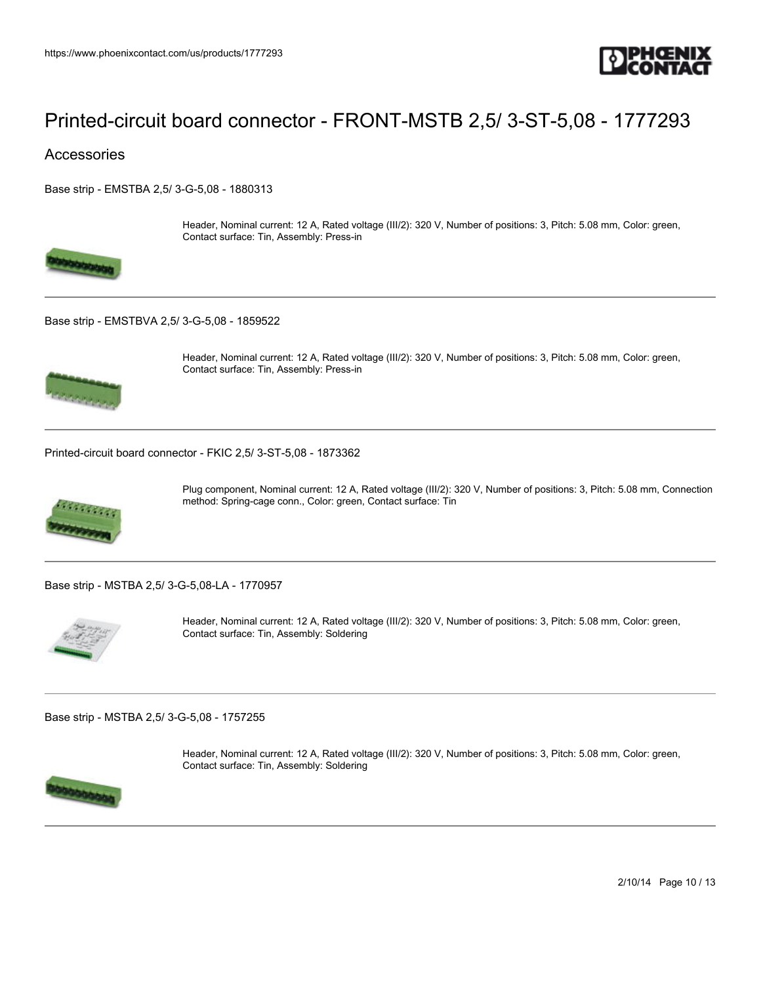

## **Accessories**

[Base strip - EMSTBA 2,5/ 3-G-5,08 - 1880313](https://www.phoenixcontact.com/us/products/1880313)



Contact surface: Tin, Assembly: Press-in

### [Base strip - EMSTBVA 2,5/ 3-G-5,08 - 1859522](https://www.phoenixcontact.com/us/products/1859522)



Header, Nominal current: 12 A, Rated voltage (III/2): 320 V, Number of positions: 3, Pitch: 5.08 mm, Color: green, Contact surface: Tin, Assembly: Press-in

Header, Nominal current: 12 A, Rated voltage (III/2): 320 V, Number of positions: 3, Pitch: 5.08 mm, Color: green,

[Printed-circuit board connector - FKIC 2,5/ 3-ST-5,08 - 1873362](https://www.phoenixcontact.com/us/products/1873362)



Plug component, Nominal current: 12 A, Rated voltage (III/2): 320 V, Number of positions: 3, Pitch: 5.08 mm, Connection method: Spring-cage conn., Color: green, Contact surface: Tin

[Base strip - MSTBA 2,5/ 3-G-5,08-LA - 1770957](https://www.phoenixcontact.com/us/products/1770957)



Header, Nominal current: 12 A, Rated voltage (III/2): 320 V, Number of positions: 3, Pitch: 5.08 mm, Color: green, Contact surface: Tin, Assembly: Soldering

[Base strip - MSTBA 2,5/ 3-G-5,08 - 1757255](https://www.phoenixcontact.com/us/products/1757255)



Header, Nominal current: 12 A, Rated voltage (III/2): 320 V, Number of positions: 3, Pitch: 5.08 mm, Color: green, Contact surface: Tin, Assembly: Soldering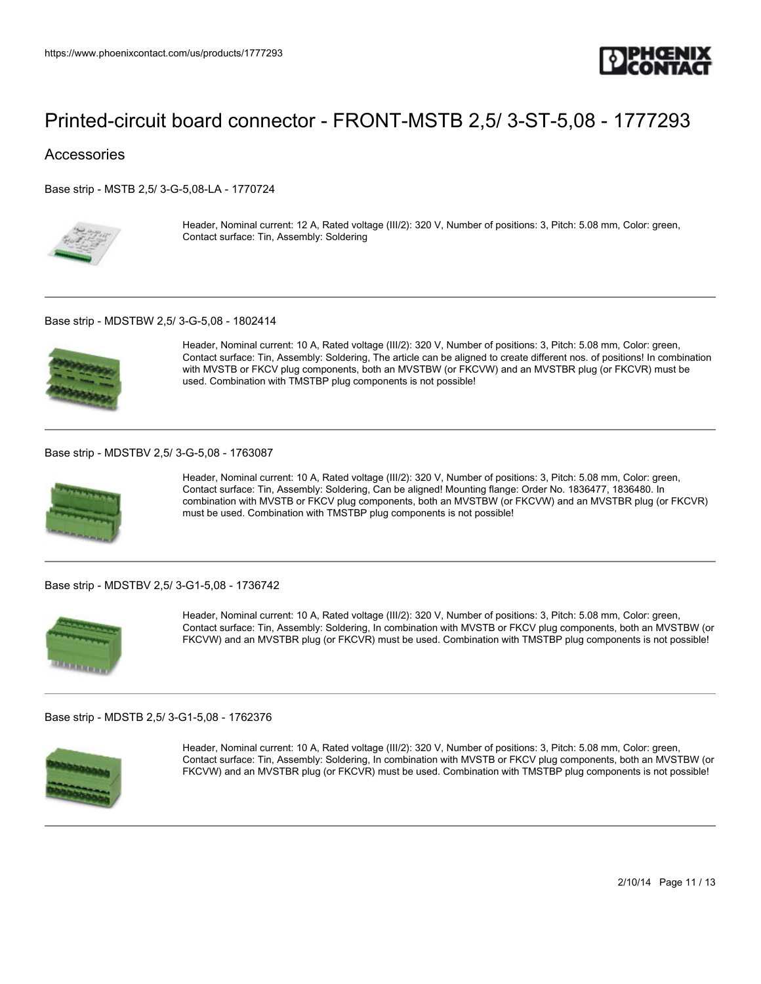

## Accessories

[Base strip - MSTB 2,5/ 3-G-5,08-LA - 1770724](https://www.phoenixcontact.com/us/products/1770724)



Header, Nominal current: 12 A, Rated voltage (III/2): 320 V, Number of positions: 3, Pitch: 5.08 mm, Color: green, Contact surface: Tin, Assembly: Soldering

#### [Base strip - MDSTBW 2,5/ 3-G-5,08 - 1802414](https://www.phoenixcontact.com/us/products/1802414)



Header, Nominal current: 10 A, Rated voltage (III/2): 320 V, Number of positions: 3, Pitch: 5.08 mm, Color: green, Contact surface: Tin, Assembly: Soldering, The article can be aligned to create different nos. of positions! In combination with MVSTB or FKCV plug components, both an MVSTBW (or FKCVW) and an MVSTBR plug (or FKCVR) must be used. Combination with TMSTBP plug components is not possible!

#### [Base strip - MDSTBV 2,5/ 3-G-5,08 - 1763087](https://www.phoenixcontact.com/us/products/1763087)



Header, Nominal current: 10 A, Rated voltage (III/2): 320 V, Number of positions: 3, Pitch: 5.08 mm, Color: green, Contact surface: Tin, Assembly: Soldering, Can be aligned! Mounting flange: Order No. 1836477, 1836480. In combination with MVSTB or FKCV plug components, both an MVSTBW (or FKCVW) and an MVSTBR plug (or FKCVR) must be used. Combination with TMSTBP plug components is not possible!

#### [Base strip - MDSTBV 2,5/ 3-G1-5,08 - 1736742](https://www.phoenixcontact.com/us/products/1736742)



Header, Nominal current: 10 A, Rated voltage (III/2): 320 V, Number of positions: 3, Pitch: 5.08 mm, Color: green, Contact surface: Tin, Assembly: Soldering, In combination with MVSTB or FKCV plug components, both an MVSTBW (or FKCVW) and an MVSTBR plug (or FKCVR) must be used. Combination with TMSTBP plug components is not possible!

#### [Base strip - MDSTB 2,5/ 3-G1-5,08 - 1762376](https://www.phoenixcontact.com/us/products/1762376)



Header, Nominal current: 10 A, Rated voltage (III/2): 320 V, Number of positions: 3, Pitch: 5.08 mm, Color: green, Contact surface: Tin, Assembly: Soldering, In combination with MVSTB or FKCV plug components, both an MVSTBW (or FKCVW) and an MVSTBR plug (or FKCVR) must be used. Combination with TMSTBP plug components is not possible!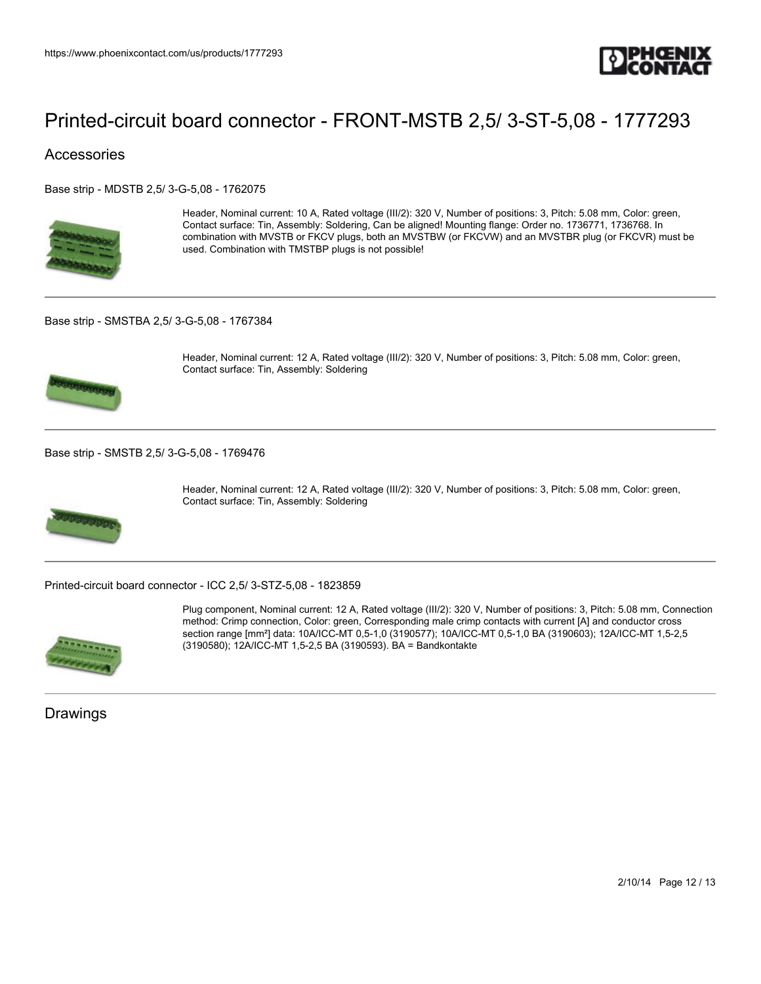

## **Accessories**

[Base strip - MDSTB 2,5/ 3-G-5,08 - 1762075](https://www.phoenixcontact.com/us/products/1762075)



Header, Nominal current: 10 A, Rated voltage (III/2): 320 V, Number of positions: 3, Pitch: 5.08 mm, Color: green, Contact surface: Tin, Assembly: Soldering, Can be aligned! Mounting flange: Order no. 1736771, 1736768. In combination with MVSTB or FKCV plugs, both an MVSTBW (or FKCVW) and an MVSTBR plug (or FKCVR) must be used. Combination with TMSTBP plugs is not possible!

[Base strip - SMSTBA 2,5/ 3-G-5,08 - 1767384](https://www.phoenixcontact.com/us/products/1767384)



Header, Nominal current: 12 A, Rated voltage (III/2): 320 V, Number of positions: 3, Pitch: 5.08 mm, Color: green, Contact surface: Tin, Assembly: Soldering

[Base strip - SMSTB 2,5/ 3-G-5,08 - 1769476](https://www.phoenixcontact.com/us/products/1769476)



Header, Nominal current: 12 A, Rated voltage (III/2): 320 V, Number of positions: 3, Pitch: 5.08 mm, Color: green, Contact surface: Tin, Assembly: Soldering

[Printed-circuit board connector - ICC 2,5/ 3-STZ-5,08 - 1823859](https://www.phoenixcontact.com/us/products/1823859)



Plug component, Nominal current: 12 A, Rated voltage (III/2): 320 V, Number of positions: 3, Pitch: 5.08 mm, Connection method: Crimp connection, Color: green, Corresponding male crimp contacts with current [A] and conductor cross section range [mm²] data: 10A/ICC-MT 0,5-1,0 (3190577); 10A/ICC-MT 0,5-1,0 BA (3190603); 12A/ICC-MT 1,5-2,5 (3190580); 12A/ICC-MT 1,5-2,5 BA (3190593). BA = Bandkontakte

Drawings